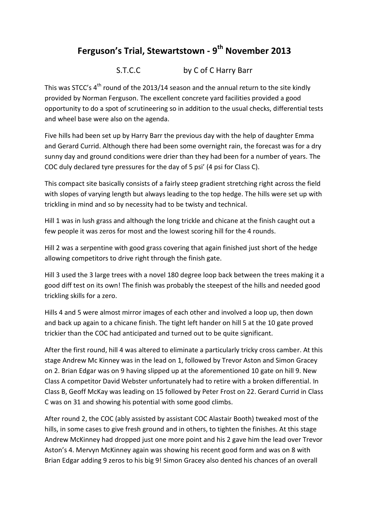## **Ferguson's Trial, Stewartstown - 9 th November 2013**

## S.T.C.C by C of C Harry Barr

This was STCC's  $4^{\text{th}}$  round of the 2013/14 season and the annual return to the site kindly provided by Norman Ferguson. The excellent concrete yard facilities provided a good opportunity to do a spot of scrutineering so in addition to the usual checks, differential tests and wheel base were also on the agenda.

Five hills had been set up by Harry Barr the previous day with the help of daughter Emma and Gerard Currid. Although there had been some overnight rain, the forecast was for a dry sunny day and ground conditions were drier than they had been for a number of years. The COC duly declared tyre pressures for the day of 5 psi' (4 psi for Class C).

This compact site basically consists of a fairly steep gradient stretching right across the field with slopes of varying length but always leading to the top hedge. The hills were set up with trickling in mind and so by necessity had to be twisty and technical.

Hill 1 was in lush grass and although the long trickle and chicane at the finish caught out a few people it was zeros for most and the lowest scoring hill for the 4 rounds.

Hill 2 was a serpentine with good grass covering that again finished just short of the hedge allowing competitors to drive right through the finish gate.

Hill 3 used the 3 large trees with a novel 180 degree loop back between the trees making it a good diff test on its own! The finish was probably the steepest of the hills and needed good trickling skills for a zero.

Hills 4 and 5 were almost mirror images of each other and involved a loop up, then down and back up again to a chicane finish. The tight left hander on hill 5 at the 10 gate proved trickier than the COC had anticipated and turned out to be quite significant.

After the first round, hill 4 was altered to eliminate a particularly tricky cross camber. At this stage Andrew Mc Kinney was in the lead on 1, followed by Trevor Aston and Simon Gracey on 2. Brian Edgar was on 9 having slipped up at the aforementioned 10 gate on hill 9. New Class A competitor David Webster unfortunately had to retire with a broken differential. In Class B, Geoff McKay was leading on 15 followed by Peter Frost on 22. Gerard Currid in Class C was on 31 and showing his potential with some good climbs.

After round 2, the COC (ably assisted by assistant COC Alastair Booth) tweaked most of the hills, in some cases to give fresh ground and in others, to tighten the finishes. At this stage Andrew McKinney had dropped just one more point and his 2 gave him the lead over Trevor Aston's 4. Mervyn McKinney again was showing his recent good form and was on 8 with Brian Edgar adding 9 zeros to his big 9! Simon Gracey also dented his chances of an overall